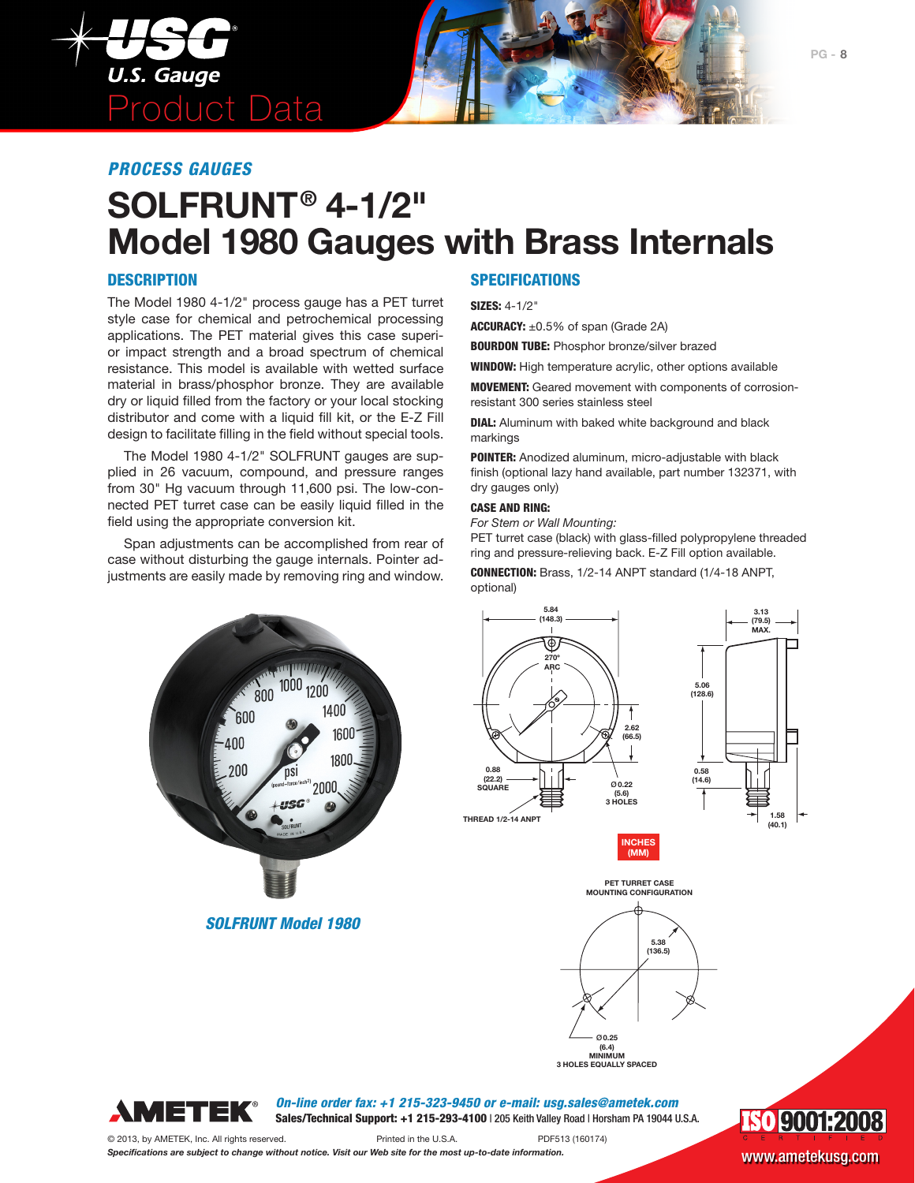

### *PROCESS GAUGES*

# **SOLFRUNT® 4-1/2" Model 1980 Gauges with Brass Internals**

#### **DESCRIPTION**

The Model 1980 4-1/2" process gauge has a PET turret style case for chemical and petrochemical processing applications. The PET material gives this case superior impact strength and a broad spectrum of chemical resistance. This model is available with wetted surface material in brass/phosphor bronze. They are available dry or liquid filled from the factory or your local stocking distributor and come with a liquid fill kit, or the E-Z Fill design to facilitate filling in the field without special tools.

The Model 1980 4-1/2" SOLFRUNT gauges are supplied in 26 vacuum, compound, and pressure ranges from 30" Hg vacuum through 11,600 psi. The low-connected PET turret case can be easily liquid filled in the field using the appropriate conversion kit.

Span adjustments can be accomplished from rear of case without disturbing the gauge internals. Pointer adjustments are easily made by removing ring and window.

#### **SPECIFICATIONS**

SIZES: 4-1/2"

ACCURACY: ±0.5% of span (Grade 2A)

**BOURDON TUBE:** Phosphor bronze/silver brazed

WINDOW: High temperature acrylic, other options available

MOVEMENT: Geared movement with components of corrosionresistant 300 series stainless steel

**DIAL:** Aluminum with baked white background and black markings

POINTER: Anodized aluminum, micro-adjustable with black finish (optional lazy hand available, part number 132371, with dry gauges only)

#### CASE AND RING:

*For Stem or Wall Mounting:*

PET turret case (black) with glass-filled polypropylene threaded ring and pressure-relieving back. E-Z Fill option available.

CONNECTION: Brass, 1/2-14 ANPT standard (1/4-18 ANPT, optional)



*SOLFRUNT Model 1980* 



**INCHES (MM)**



**3 HOLES EQUALLY SPACED**



*On-line order fax: +1 215-323-9450 or e-mail: usg.sales@ametek.com* Sales/Technical Support: +1 215-293-4100 | 205 Keith Valley Road | Horsham PA 19044 U.S.A.



© 2013, by AMETEK, Inc. All rights reserved. Printed in the U.S.A. PDF513 (160174) *Specifications are subject to change without notice. Visit our Web site for the most up-to-date information.* WWW.ametekusg.com